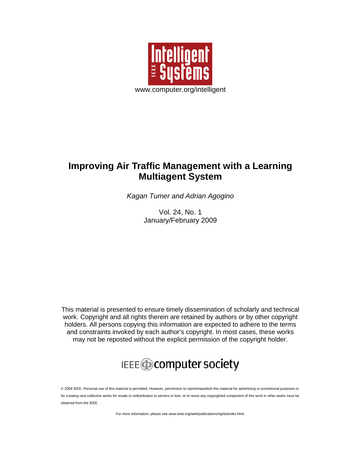

### **Improving Air Traffic Management with a Learning Multiagent System**

*Kagan Tumer and Adrian Agogino*

Vol. 24, No. 1 January/February 2009

This material is presented to ensure timely dissemination of scholarly and technical work. Copyright and all rights therein are retained by authors or by other copyright holders. All persons copying this information are expected to adhere to the terms and constraints invoked by each author's copyright. In most cases, these works may not be reposted without the explicit permission of the copyright holder.



© 2009 IEEE. Personal use of this material is permitted. However, permission to reprint/republish this material for advertising or promotional purposes or for creating new collective works for resale or redistribution to servers or lists, or to reuse any copyrighted component of this work in other works must be obtained from the IEEE.

For more information, please see www.ieee.org/web/publications/rights/index.html.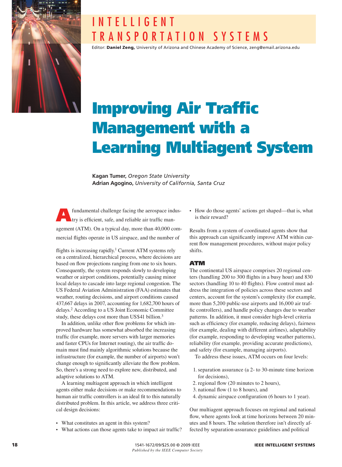

## I N T E L L I G E N T T R A N S P O R T A T I O N S Y S T E M S

Editor: Daniel Zeng, University of Arizona and Chinese Academy of Science, zeng@email.arizona.edu

# **Improving Air Traffic** Management with a Learning Multiagent System

**Kagan Tumer,** *Oregon State University* **Adrian Agogino,** *University of California, Santa Cruz*

fundamental challenge facing the aerospace industry is efficient, safe, and reliable air traffic management (ATM). On a typical day, more than 40,000 commercial flights operate in US airspace, and the number of

flights is increasing rapidly.<sup>1</sup> Current ATM systems rely on a centralized, hierarchical process, where decisions are based on flow projections ranging from one to six hours. Consequently, the system responds slowly to developing weather or airport conditions, potentially causing minor local delays to cascade into large regional congestion. The US Federal Aviation Administration (FAA) estimates that weather, routing decisions, and airport conditions caused 437,667 delays in 2007, accounting for 1,682,700 hours of delays.2 According to a US Joint Economic Committee study, these delays cost more than US\$41 billion.3

In addition, unlike other flow problems for which improved hardware has somewhat absorbed the increasing traffic (for example, more servers with larger memories and faster CPUs for Internet routing), the air traffic domain must find mainly algorithmic solutions because the infrastructure (for example, the number of airports) won't change enough to significantly alleviate the flow problem. So, there's a strong need to explore new, distributed, and adaptive solutions to ATM.

A learning multiagent approach in which intelligent agents either make decisions or make recommendations to human air traffic controllers is an ideal fit to this naturally distributed problem. In this article, we address three critical design decisions:

- What constitutes an agent in this system? •
- What actions can those agents take to impact air traffic?

• How do those agents' actions get shaped—that is, what is their reward?

Results from a system of coordinated agents show that this approach can significantly improve ATM within current flow management procedures, without major policy shifts.

#### ATM

The continental US airspace comprises 20 regional centers (handling  $200$  to  $300$  flights in a busy hour) and  $830$ sectors (handling 10 to 40 flights). Flow control must address the integration of policies across these sectors and centers, account for the system's complexity (for example, more than 5,200 public-use airports and 16,000 air traffic controllers), and handle policy changes due to weather patterns. In addition, it must consider high-level criteria such as efficiency (for example, reducing delays), fairness (for example, dealing with different airlines), adaptability (for example, responding to developing weather patterns), reliability (for example, providing accurate predictions), and safety (for example, managing airports).

To address these issues, ATM occurs on four levels:

- 1. separation assurance (a 2- to 30-minute time horizon for decisions),
- 2. regional flow (20 minutes to 2 hours),
- 3. national flow (1 to 8 hours), and
- 4. dynamic airspace configuration (6 hours to 1 year).

Our multiagent approach focuses on regional and national flow, where agents look at time horizons between 20 minutes and 8 hours. The solution therefore isn't directly affected by separation-assurance guidelines and political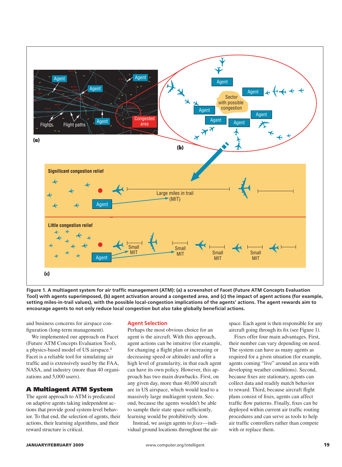

**Figure 1. A multiagent system for air traffic management (ATM): (a) a screenshot of Facet (Future ATM Concepts Evaluation Tool) with agents superimposed, (b) agent activation around a congested area, and (c) the impact of agent actions (for example,**  setting miles-in-trail values), with the possible local-congestion implications of the agents' actions. The agent rewards aim to **encourage agents to not only reduce local congestion but also take globally beneficial actions.**

and business concerns for airspace configuration (long-term management).

We implemented our approach on Facet (Future ATM Concepts Evaluation Tool), a physics-based model of US airspace.4 Facet is a reliable tool for simulating air traffic and is extensively used by the FAA, NASA, and industry (more than 40 organizations and 5,000 users).

#### A Multiagent ATM System

The agent approach to ATM is predicated on adaptive agents taking independent actions that provide good system-level behavior. To that end, the selection of agents, their actions, their learning algorithms, and their reward structure is critical.

#### **Agent Selection**

Perhaps the most obvious choice for an agent is the aircraft. With this approach, agent actions can be intuitive (for example, for changing a flight plan or increasing or decreasing speed or altitude) and offer a high level of granularity, in that each agent can have its own policy. However, this approach has two main drawbacks. First, on any given day, more than 40,000 aircraft are in US airspace, which would lead to a massively large multiagent system. Second, because the agents wouldn't be able to sample their state space sufficiently, learning would be prohibitively slow.

Instead, we assign agents to *fixes*—individual ground locations throughout the air-

space. Each agent is then responsible for any aircraft going through its fix (see Figure 1).

Fixes offer four main advantages. First, their number can vary depending on need. The system can have as many agents as required for a given situation (for example, agents coming "live" around an area with developing weather conditions). Second, because fixes are stationary, agents can collect data and readily match behavior to reward. Third, because aircraft flight plans consist of fixes, agents can affect traffic flow patterns. Finally, fixes can be deployed within current air traffic routing procedures and can serve as tools to help air traffic controllers rather than compete with or replace them.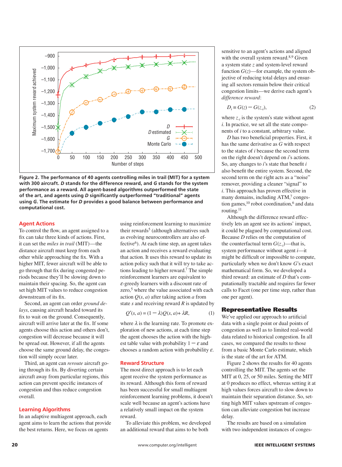

**Figure 2. The performance of 40 agents controlling miles in trail (MIT) for a system with 300 aircraft.** *D* **stands for the difference reward, and** *G* **stands for the system performance as a reward. All agent-based algorithms outperformed the state of the art, and agents using** *D* **significantly outperformed "traditional" agents using** *G***. The estimate for** *D* **provides a good balance between performance and computational cost.**

#### **Agent Actions**

To control the flow, an agent assigned to a fix can take three kinds of actions. First, it can set the *miles in trail* (MIT)—the distance aircraft must keep from each other while approaching the fix. With a higher MIT, fewer aircraft will be able to go through that fix during congested periods because they'll be slowing down to maintain their spacing. So, the agent can set high MIT values to reduce congestion downstream of its fix.

Second, an agent can order *ground delays*, causing aircraft headed toward its fix to wait on the ground. Consequently, aircraft will arrive later at the fix. If some agents choose this action and others don't, congestion will decrease because it will be spread out. However, if all the agents choose the same ground delay, the congestion will simply occur later.

Third, an agent can *reroute* aircraft going through its fix. By diverting certain aircraft away from particular regions, this action can prevent specific instances of congestion and thus reduce congestion overall.

#### **Learning Algorithms**

In an adaptive multiagent approach, each agent aims to learn the actions that provide the best returns. Here, we focus on agents

using reinforcement learning to maximize their rewards<sup>5</sup> (although alternatives such as evolving neurocontrollers are also effective<sup>6</sup>). At each time step, an agent takes an action and receives a reward evaluating that action. It uses this reward to update its action policy such that it will try to take actions leading to higher reward.7 The simple reinforcement learners are equivalent to *e*-greedy learners with a discount rate of zero,<sup>5</sup> where the value associated with each action *Q*(*s*, *a*) after taking action *a* from state *s* and receiving reward *R* is updated by

$$
Q'(s, a) = (1 - \lambda)Q(s, a) + \lambda R,\tag{1}
$$

where  $\lambda$  is the learning rate. To promote exploration of new actions, at each time step the agent chooses the action with the highest table value with probability  $1 - \varepsilon$  and chooses a random action with probability *e*.

#### **Reward Structure**

The most direct approach is to let each agent receive the system performance as its reward. Although this form of reward has been successful for small multiagent reinforcement learning problems, it doesn't scale well because an agent's actions have a relatively small impact on the system reward.

To alleviate this problem, we developed an additional reward that aims to be both

sensitive to an agent's actions and aligned with the overall system reward.<sup>8,9</sup> Given a system state *z* and system-level reward function  $G(z)$ —for example, the system objective of reducing total delays and ensuring all sectors remain below their critical congestion limits—we derive each agent's *difference reward*:

$$
D_i \equiv G(z) - G(z_{-i}),\tag{2}
$$

where  $z_i$  is the system's state without agent *i*. In practice, we set all the state components of *i* to a constant, arbitrary value.

*D* has two beneficial properties. First, it has the same derivative as *G* with respect to the states of *i* because the second term on the right doesn't depend on *i*'s actions. So, any changes to *i*'s state that benefit *i* also benefit the entire system. Second, the second term on the right acts as a "noise" remover, providing a cleaner "signal" to *i*. This approach has proven effective in many domains, including ATM,7 congestion games, $^{10}$  robot coordination, $^6$  and data routing.11

Although the difference reward effectively lets an agent see its actions' impact, it could be plagued by computational cost. Because *D* relies on the computation of the counterfactual term  $G(z_i)$ —that is, system performance without agent *i*—it might be difficult or impossible to compute, particularly when we don't know *G*'s exact mathematical form. So, we developed a third reward: an estimate of *D* that's computationally tractable and requires far fewer calls to Facet (one per time step, rather than one per agent).

#### Representative Results

We've applied our approach to artificial data with a single point or dual points of congestion as well as to limited real-world data related to historical congestion. In all cases, we compared the results to those from a basic Monte Carlo estimate, which is the state of the art for ATM.

Figure 2 shows the results for 40 agents controlling the MIT. The agents set the MIT at 0, 25, or 50 miles. Setting the MIT at 0 produces no effect, whereas setting it at high values forces aircraft to slow down to maintain their separation distance. So, setting high MIT values upstream of congestion can alleviate congestion but increase delay.

The results are based on a simulation with two independent instances of conges